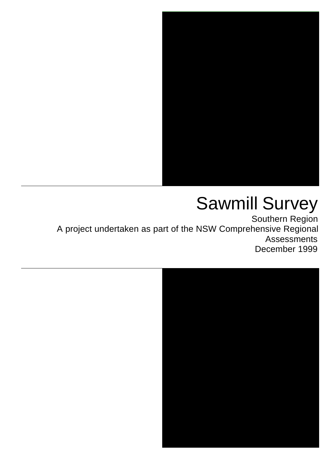

# Sawmill Survey

Southern Region A project undertaken as part of the NSW Comprehensive Regional Assessments December 1999

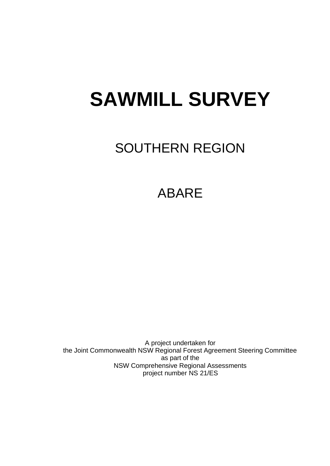# **SAWMILL SURVEY**

# SOUTHERN REGION

# ABARE

A project undertaken for the Joint Commonwealth NSW Regional Forest Agreement Steering Committee as part of the NSW Comprehensive Regional Assessments project number NS 21/ES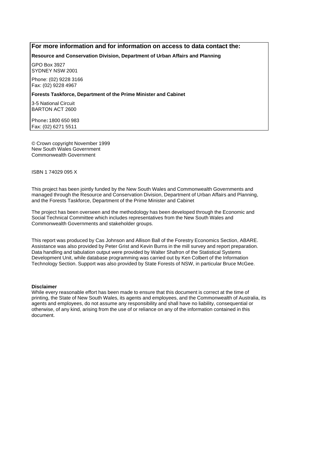#### **For more information and for information on access to data contact the:**

**Resource and Conservation Division, Department of Urban Affairs and Planning**

GPO Box 3927 SYDNEY NSW 2001

Phone: (02) 9228 3166 Fax: (02) 9228 4967

#### **Forests Taskforce, Department of the Prime Minister and Cabinet**

3-5 National Circuit BARTON ACT 2600

Phone**:** 1800 650 983 Fax: (02) 6271 5511

© Crown copyright November 1999 New South Wales Government Commonwealth Government

ISBN 1 74029 095 X

This project has been jointly funded by the New South Wales and Commonwealth Governments and managed through the Resource and Conservation Division, Department of Urban Affairs and Planning, and the Forests Taskforce, Department of the Prime Minister and Cabinet

The project has been overseen and the methodology has been developed through the Economic and Social Technical Committee which includes representatives from the New South Wales and Commonwealth Governments and stakeholder groups.

This report was produced by Cas Johnson and Allison Ball of the Forestry Economics Section, ABARE. Assistance was also provided by Peter Grist and Kevin Burns in the mill survey and report preparation. Data handling and tabulation output were provided by Walter Shafron of the Statistical Systems Development Unit, while database programming was carried out by Ken Colbert of the Information Technology Section. Support was also provided by State Forests of NSW, in particular Bruce McGee.

#### **Disclaimer**

While every reasonable effort has been made to ensure that this document is correct at the time of printing, the State of New South Wales, its agents and employees, and the Commonwealth of Australia, its agents and employees, do not assume any responsibility and shall have no liability, consequential or otherwise, of any kind, arising from the use of or reliance on any of the information contained in this document.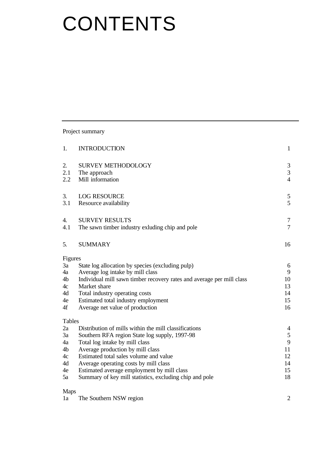# **CONTENTS**

Project summary

| 1.            | <b>INTRODUCTION</b>                                                   | $\mathbf{1}$   |
|---------------|-----------------------------------------------------------------------|----------------|
| 2.            | <b>SURVEY METHODOLOGY</b>                                             | $\mathfrak{Z}$ |
| 2.1           | The approach                                                          | 3              |
| 2.2           | Mill information                                                      | $\overline{4}$ |
| 3.            | <b>LOG RESOURCE</b>                                                   | $\mathfrak{S}$ |
| 3.1           | Resource availability                                                 | 5              |
| 4.            | <b>SURVEY RESULTS</b>                                                 | $\overline{7}$ |
| 4.1           | The sawn timber industry exluding chip and pole                       | $\tau$         |
| 5.            | <b>SUMMARY</b>                                                        | 16             |
| Figures       |                                                                       |                |
| 3a            | State log allocation by species (excluding pulp)                      | 6              |
| 4a            | Average log intake by mill class                                      | 9              |
| 4b            | Individual mill sawn timber recovery rates and average per mill class | 10             |
| 4c            | Market share                                                          | 13             |
| 4d            | Total industry operating costs                                        | 14             |
| 4e            | Estimated total industry employment                                   | 15             |
| 4f            | Average net value of production                                       | 16             |
| <b>Tables</b> |                                                                       |                |
| 2a            | Distribution of mills within the mill classifications                 | $\overline{4}$ |
| 3a            | Southern RFA region State log supply, 1997-98                         | $\mathfrak s$  |
| 4a            | Total log intake by mill class                                        | 9              |
| 4b            | Average production by mill class                                      | 11             |
| 4c            | Estimated total sales volume and value                                | 12             |
| 4d            | Average operating costs by mill class                                 | 14             |
| 4e            | Estimated average employment by mill class                            | 15<br>18       |
| 5a            | Summary of key mill statistics, excluding chip and pole               |                |
| <b>Maps</b>   |                                                                       |                |

| 1a | The Southern NSW region |  |
|----|-------------------------|--|
|    |                         |  |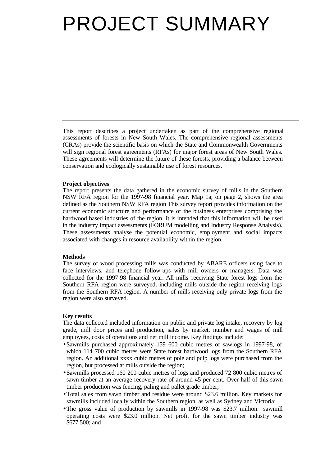# PROJECT SUMMARY

This report describes a project undertaken as part of the comprehensive regional assessments of forests in New South Wales. The comprehensive regional assessments (CRAs) provide the scientific basis on which the State and Commonwealth Governments will sign regional forest agreements (RFAs) for major forest areas of New South Wales. These agreements will determine the future of these forests, providing a balance between conservation and ecologically sustainable use of forest resources.

#### **Project objectives**

The report presents the data gathered in the economic survey of mills in the Southern NSW RFA region for the 1997-98 financial year. Map 1a, on page 2, shows the area defined as the Southern NSW RFA region This survey report provides information on the current economic structure and performance of the business enterprises comprising the hardwood based industries of the region. It is intended that this information will be used in the industry impact assessments (FORUM modelling and Industry Response Analysis). These assessments analyse the potential economic, employment and social impacts associated with changes in resource availability within the region.

#### **Methods**

The survey of wood processing mills was conducted by ABARE officers using face to face interviews, and telephone follow-ups with mill owners or managers. Data was collected for the 1997-98 financial year. All mills receiving State forest logs from the Southern RFA region were surveyed, including mills outside the region receiving logs from the Southern RFA region. A number of mills receiving only private logs from the region were also surveyed.

#### **Key results**

The data collected included information on public and private log intake, recovery by log grade, mill door prices and production, sales by market, number and wages of mill employees, costs of operations and net mill income. Key findings include:

- Sawmills purchased approximately 159 600 cubic metres of sawlogs in 1997-98, of which 114 700 cubic metres were State forest hardwood logs from the Southern RFA region. An additional xxxx cubic metres of pole and pulp logs were purchased from the region, but processed at mills outside the region;
- Sawmills processed 160 200 cubic metres of logs and produced 72 800 cubic metres of sawn timber at an average recovery rate of around 45 per cent. Over half of this sawn timber production was fencing, paling and pallet grade timber;
- •Total sales from sawn timber and residue were around \$23.6 million. Key markets for sawmills included locally within the Southern region, as well as Sydney and Victoria;
- •The gross value of production by sawmills in 1997-98 was \$23.7 million. sawmill operating costs were \$23.0 million. Net profit for the sawn timber industry was \$677 500; and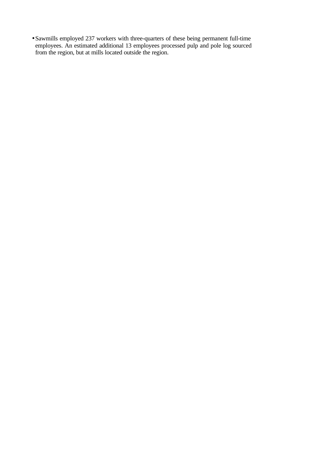• Sawmills employed 237 workers with three-quarters of these being permanent full-time employees. An estimated additional 13 employees processed pulp and pole log sourced from the region, but at mills located outside the region.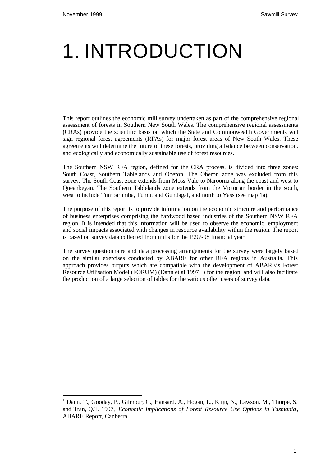l

# 1. INTRODUCTION

This report outlines the economic mill survey undertaken as part of the comprehensive regional assessment of forests in Southern New South Wales. The comprehensive regional assessments (CRAs) provide the scientific basis on which the State and Commonwealth Governments will sign regional forest agreements (RFAs) for major forest areas of New South Wales. These agreements will determine the future of these forests, providing a balance between conservation, and ecologically and economically sustainable use of forest resources.

The Southern NSW RFA region, defined for the CRA process, is divided into three zones: South Coast, Southern Tablelands and Oberon. The Oberon zone was excluded from this survey. The South Coast zone extends from Moss Vale to Narooma along the coast and west to Queanbeyan. The Southern Tablelands zone extends from the Victorian border in the south, west to include Tumbarumba, Tumut and Gundagai, and north to Yass (see map 1a).

The purpose of this report is to provide information on the economic structure and performance of business enterprises comprising the hardwood based industries of the Southern NSW RFA region. It is intended that this information will be used to observe the economic, employment and social impacts associated with changes in resource availability within the region. The report is based on survey data collected from mills for the 1997-98 financial year.

The survey questionnaire and data processing arrangements for the survey were largely based on the similar exercises conducted by ABARE for other RFA regions in Australia. This approach provides outputs which are compatible with the development of ABARE's Forest Resource Utilisation Model (FORUM) (Dann et al 1997 $<sup>1</sup>$ ) for the region, and will also facilitate</sup> the production of a large selection of tables for the various other users of survey data.

<sup>&</sup>lt;sup>1</sup> Dann, T., Gooday, P., Gilmour, C., Hansard, A., Hogan, L., Klijn, N., Lawson, M., Thorpe, S. and Tran, Q.T. 1997, *Economic Implications of Forest Resource Use Options in Tasmania*, ABARE Report, Canberra.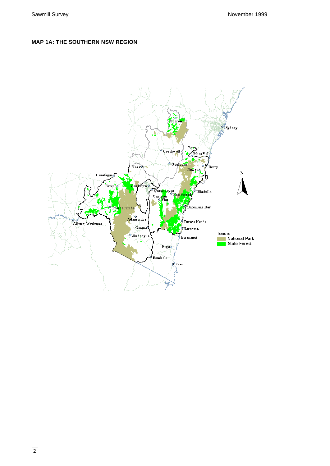### **MAP 1A: THE SOUTHERN NSW REGION**

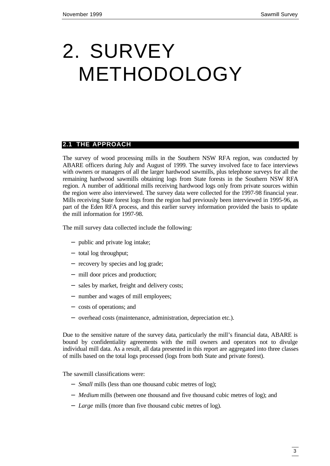# 2. SURVEY METHODOLOGY

# **2.1 THE APPROACH**

The survey of wood processing mills in the Southern NSW RFA region, was conducted by ABARE officers during July and August of 1999. The survey involved face to face interviews with owners or managers of all the larger hardwood sawmills, plus telephone surveys for all the remaining hardwood sawmills obtaining logs from State forests in the Southern NSW RFA region. A number of additional mills receiving hardwood logs only from private sources within the region were also interviewed. The survey data were collected for the 1997-98 financial year. Mills receiving State forest logs from the region had previously been interviewed in 1995-96, as part of the Eden RFA process, and this earlier survey information provided the basis to update the mill information for 1997-98.

The mill survey data collected include the following:

- − public and private log intake;
- − total log throughput;
- − recovery by species and log grade;
- − mill door prices and production;
- − sales by market, freight and delivery costs;
- − number and wages of mill employees;
- − costs of operations; and
- − overhead costs (maintenance, administration, depreciation etc.).

Due to the sensitive nature of the survey data, particularly the mill's financial data, ABARE is bound by confidentiality agreements with the mill owners and operators not to divulge individual mill data. As a result, all data presented in this report are aggregated into three classes of mills based on the total logs processed (logs from both State and private forest).

The sawmill classifications were:

- − *Small* mills (less than one thousand cubic metres of log);
- − *Medium* mills (between one thousand and five thousand cubic metres of log); and
- − *Large* mills (more than five thousand cubic metres of log).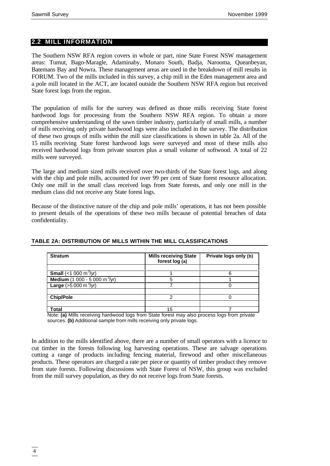### **2.2 MILL INFORMATION**

The Southern NSW RFA region covers in whole or part, nine State Forest NSW management areas: Tumut, Bago-Maragle, Adaminaby, Monaro South, Badja, Narooma, Queanbeyan, Batemans Bay and Nowra. These management areas are used in the breakdown of mill results in FORUM. Two of the mills included in this survey, a chip mill in the Eden management area and a pole mill located in the ACT, are located outside the Southern NSW RFA region but received State forest logs from the region.

The population of mills for the survey was defined as those mills receiving State forest hardwood logs for processing from the Southern NSW RFA region. To obtain a more comprehensive understanding of the sawn timber industry, particularly of small mills, a number of mills receiving only private hardwood logs were also included in the survey. The distribution of these two groups of mills within the mill size classifications is shown in table 2a. All of the 15 mills receiving State forest hardwood logs were surveyed and most of these mills also received hardwood logs from private sources plus a small volume of softwood. A total of 22 mills were surveyed.

The large and medium sized mills received over two-thirds of the State forest logs, and along with the chip and pole mills, accounted for over 99 per cent of State forest resource allocation. Only one mill in the small class received logs from State forests, and only one mill in the medium class did not receive any State forest logs.

Because of the distinctive nature of the chip and pole mills' operations, it has not been possible to present details of the operations of these two mills because of potential breaches of data confidentiality.

| <b>Stratum</b>                             | <b>Mills receiving State</b><br>forest log (a) | Private logs only (b) |  |  |
|--------------------------------------------|------------------------------------------------|-----------------------|--|--|
|                                            |                                                |                       |  |  |
| <b>Small</b> (<1 000 m <sup>3</sup> /yr)   |                                                |                       |  |  |
| Medium $(1\ 000 - 5\ 000\ m^3/yr)$         |                                                |                       |  |  |
| <b>Large</b> ( $>5000$ m <sup>3</sup> /yr) |                                                |                       |  |  |
|                                            |                                                |                       |  |  |
| <b>Chip/Pole</b>                           |                                                |                       |  |  |
|                                            |                                                |                       |  |  |
| Total                                      |                                                |                       |  |  |

#### **TABLE 2A: DISTRIBUTION OF MILLS WITHIN THE MILL CLASSIFICATIONS**

Note: **(a)** Mills receiving hardwood logs from State forest may also process logs from private sources. **(b)** Additional sample from mills receiving only private logs.

In addition to the mills identified above, there are a number of small operators with a licence to cut timber in the forests following log harvesting operations. These are salvage operations cutting a range of products including fencing material, firewood and other miscellaneous products. These operators are charged a rate per piece or quantity of timber product they remove from state forests. Following discussions with State Forest of NSW, this group was excluded from the mill survey population, as they do not receive logs from State forests.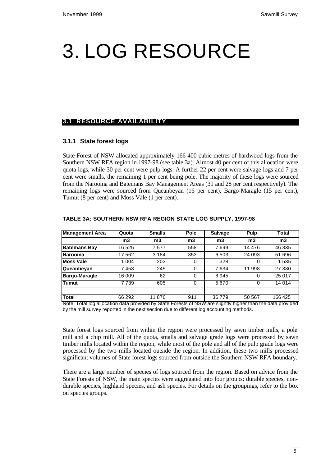# 3. LOG RESOURCE

### **3.1 RESOURCE AVAILABILITY**

### **3.1.1 State forest logs**

State Forest of NSW allocated approximately 166 400 cubic metres of hardwood logs from the Southern NSW RFA region in 1997-98 (see table 3a). Almost 40 per cent of this allocation were quota logs, while 30 per cent were pulp logs. A further 22 per cent were salvage logs and 7 per cent were smalls, the remaining 1 per cent being pole. The majority of these logs were sourced from the Narooma and Batemans Bay Management Areas (31 and 28 per cent respectively). The remaining logs were sourced from Queanbeyan (16 per cent), Bargo-Maragle (15 per cent), Tumut (8 per cent) and Moss Vale (1 per cent).

| <b>Management Area</b>                                                                                                 | Quota   | <b>Smalls</b>                                                                                                                                                                                                                                                                                                                                                          | <b>Pole</b>    | <b>Salvage</b> | Pulp           | Total   |
|------------------------------------------------------------------------------------------------------------------------|---------|------------------------------------------------------------------------------------------------------------------------------------------------------------------------------------------------------------------------------------------------------------------------------------------------------------------------------------------------------------------------|----------------|----------------|----------------|---------|
|                                                                                                                        | m3      | m3                                                                                                                                                                                                                                                                                                                                                                     | m <sub>3</sub> | m3             | m <sub>3</sub> | m3      |
| <b>Batemans Bay</b>                                                                                                    | 16 5 25 | 7577                                                                                                                                                                                                                                                                                                                                                                   | 558            | 7699           | 14 4 7 6       | 46 835  |
| Narooma                                                                                                                | 17 562  | 3 1 8 4                                                                                                                                                                                                                                                                                                                                                                | 353            | 6503           | 24 093         | 51 696  |
| <b>Moss Vale</b>                                                                                                       | 1 0 0 4 | 203                                                                                                                                                                                                                                                                                                                                                                    | 0              | 328            | 0              | 1535    |
| Queanbeyan                                                                                                             | 7453    | 245                                                                                                                                                                                                                                                                                                                                                                    | 0              | 7634           | 11 998         | 27 330  |
| Bargo-Maragle                                                                                                          | 16 009  | 62                                                                                                                                                                                                                                                                                                                                                                     | 0              | 8945           | $\Omega$       | 25 017  |
| <b>Tumut</b>                                                                                                           | 7739    | 605                                                                                                                                                                                                                                                                                                                                                                    | 0              | 5670           | $\Omega$       | 14 0 14 |
|                                                                                                                        |         |                                                                                                                                                                                                                                                                                                                                                                        |                |                |                |         |
| <b>Total</b><br>$\mathbf{v}$ , $\mathbf{v}$ , $\mathbf{v}$ , $\mathbf{v}$ , $\mathbf{v}$ , $\mathbf{v}$ , $\mathbf{v}$ | 66 29 2 | 11876<br>$\cdots$ . $\alpha$ . $\alpha$ . $\alpha$ . $\alpha$ . $\alpha$ . $\alpha$ . $\alpha$ . $\alpha$ . $\alpha$ . $\alpha$ . $\alpha$ . $\alpha$ . $\alpha$ . $\alpha$ . $\alpha$ . $\alpha$ . $\alpha$ . $\alpha$ . $\alpha$ . $\alpha$ . $\alpha$ . $\alpha$ . $\alpha$ . $\alpha$ . $\alpha$ . $\alpha$ . $\alpha$ . $\alpha$ . $\alpha$ . $\alpha$ . $\alpha$ | 911            | 36779          | 50 567         | 166 425 |

#### **TABLE 3A: SOUTHERN NSW RFA REGION STATE LOG SUPPLY, 1997-98**

Note: Total log allocation data provided by State Forests of NSW are slightly higher than the data provided by the mill survey reported in the next section due to different log accounting methods.

State forest logs sourced from within the region were processed by sawn timber mills, a pole mill and a chip mill. All of the quota, smalls and salvage grade logs were processed by sawn timber mills located within the region, while most of the pole and all of the pulp grade logs were processed by the two mills located outside the region. In addition, these two mills processed significant volumes of State forest logs sourced from outside the Southern NSW RFA boundary.

There are a large number of species of logs sourced from the region. Based on advice from the State Forests of NSW, the main species were aggregated into four groups: durable species, nondurable species, highland species, and ash species. For details on the groupings, refer to the box on species groups.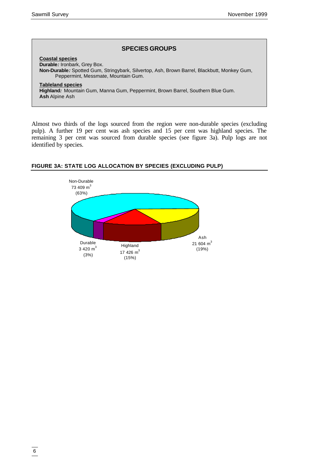#### **SPECIES GROUPS**

**Coastal species Durable***:* Ironbark, Grey Box. **Non-Durable***:* Spotted Gum, Stringybark, Silvertop, Ash, Brown Barrel, Blackbutt, Monkey Gum, Peppermint, Messmate, Mountain Gum. **Tableland species Highland***:* Mountain Gum, Manna Gum, Peppermint, Brown Barrel, Southern Blue Gum. **Ash** Alpine Ash

Almost two thirds of the logs sourced from the region were non-durable species (excluding pulp). A further 19 per cent was ash species and 15 per cent was highland species. The remaining 3 per cent was sourced from durable species (see figure 3a). Pulp logs are not identified by species.



### **FIGURE 3A: STATE LOG ALLOCATION BY SPECIES (EXCLUDING PULP)**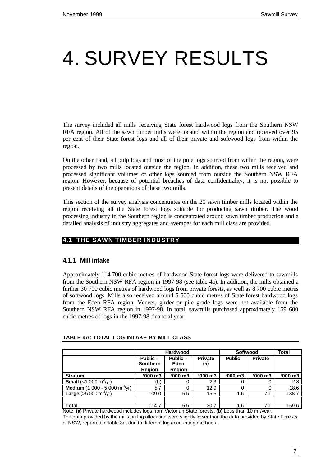# 4. SURVEY RESULTS

The survey included all mills receiving State forest hardwood logs from the Southern NSW RFA region. All of the sawn timber mills were located within the region and received over 95 per cent of their State forest logs and all of their private and softwood logs from within the region.

On the other hand, all pulp logs and most of the pole logs sourced from within the region, were processed by two mills located outside the region. In addition, these two mills received and processed significant volumes of other logs sourced from outside the Southern NSW RFA region. However, because of potential breaches of data confidentiality, it is not possible to present details of the operations of these two mills.

This section of the survey analysis concentrates on the 20 sawn timber mills located within the region receiving all the State forest logs suitable for producing sawn timber. The wood processing industry in the Southern region is concentrated around sawn timber production and a detailed analysis of industry aggregates and averages for each mill class are provided.

# **4.1 THE SAWN TIMBER INDUSTRY**

### **4.1.1 Mill intake**

Approximately 114 700 cubic metres of hardwood State forest logs were delivered to sawmills from the Southern NSW RFA region in 1997-98 (see table 4a). In addition, the mills obtained a further 30 700 cubic metres of hardwood logs from private forests, as well as 8 700 cubic metres of softwood logs. Mills also received around 5 500 cubic metres of State forest hardwood logs from the Eden RFA region. Veneer, girder or pile grade logs were not available from the Southern NSW RFA region in 1997-98. In total, sawmills purchased approximately 159 600 cubic metres of logs in the 1997-98 financial year.

|                                                | <b>Hardwood</b>                                                                              |              |               | Softwood       | Total        |         |
|------------------------------------------------|----------------------------------------------------------------------------------------------|--------------|---------------|----------------|--------------|---------|
|                                                | Public -<br><b>Private</b><br>Public -<br><b>Southern</b><br>Eden<br>(a)<br>Region<br>Region |              | <b>Public</b> | <b>Private</b> |              |         |
| <b>Stratum</b>                                 | $'000 \, m3$                                                                                 | $'000 \, m3$ | $'000 \, m3$  | $'000 \, m3$   | $'000 \, m3$ | '000 m3 |
| <b>Small</b> (<1 000 m <sup>3</sup> /yr)       | (b)                                                                                          |              | 2.3           | 0              |              | 2.3     |
| Medium (1 000 - 5 000 m $\frac{3}{10}$ )       | 5.7                                                                                          |              | 12.9          | 0              |              | 18.6    |
| <b>Large</b> ( $>5000 \text{ m}^3/\text{yr}$ ) | 109.0                                                                                        | 5.5          | 15.5          | 1.6            | 7.1          | 138.7   |
|                                                |                                                                                              |              |               |                |              |         |
| <b>Total</b>                                   | 114.7                                                                                        | 5.5          | 30.7          | 1.6            | 7.1          | 159.6   |

#### **TABLE 4A: TOTAL LOG INTAKE BY MILL CLASS**

Note: (a) Private hardwood includes logs from Victorian State forests. (b) Less than 10 m<sup>3</sup>/year. The data provided by the mills on log allocation were slightly lower than the data provided by State Forests of NSW, reported in table 3a, due to different log accounting methods.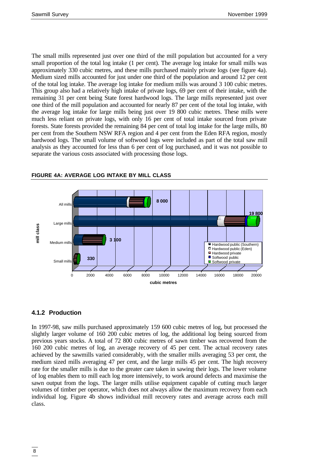The small mills represented just over one third of the mill population but accounted for a very small proportion of the total log intake (1 per cent). The average log intake for small mills was approximately 330 cubic metres, and these mills purchased mainly private logs (see figure 4a). Medium sized mills accounted for just under one third of the population and around 12 per cent of the total log intake. The average log intake for medium mills was around 3 100 cubic metres. This group also had a relatively high intake of private logs, 69 per cent of their intake, with the remaining 31 per cent being State forest hardwood logs. The large mills represented just over one third of the mill population and accounted for nearly 87 per cent of the total log intake, with the average log intake for large mills being just over 19 800 cubic metres. These mills were much less reliant on private logs, with only 16 per cent of total intake sourced from private forests. State forests provided the remaining 84 per cent of total log intake for the large mills, 80 per cent from the Southern NSW RFA region and 4 per cent from the Eden RFA region, mostly hardwood logs. The small volume of softwood logs were included as part of the total saw mill analysis as they accounted for less than 6 per cent of log purchased, and it was not possible to separate the various costs associated with processing those logs.



### **FIGURE 4A: AVERAGE LOG INTAKE BY MILL CLASS**

# **4.1.2 Production**

In 1997-98, saw mills purchased approximately 159 600 cubic metres of log, but processed the slightly larger volume of 160 200 cubic metres of log, the additional log being sourced from previous years stocks. A total of 72 800 cubic metres of sawn timber was recovered from the 160 200 cubic metres of log, an average recovery of 45 per cent. The actual recovery rates achieved by the sawmills varied considerably, with the smaller mills averaging 53 per cent, the medium sized mills averaging 47 per cent, and the large mills 45 per cent. The high recovery rate for the smaller mills is due to the greater care taken in sawing their logs. The lower volume of log enables them to mill each log more intensively, to work around defects and maximise the sawn output from the logs. The larger mills utilise equipment capable of cutting much larger volumes of timber per operator, which does not always allow the maximum recovery from each individual log. Figure 4b shows individual mill recovery rates and average across each mill class.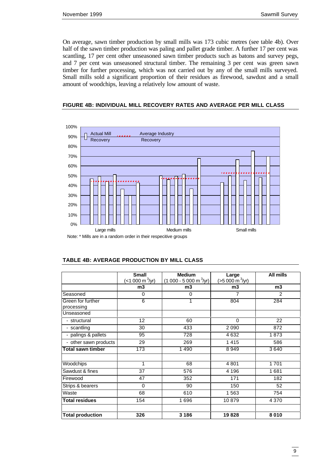On average, sawn timber production by small mills was 173 cubic metres (see table 4b). Over half of the sawn timber production was paling and pallet grade timber. A further 17 per cent was scantling, 17 per cent other unseasoned sawn timber products such as batons and survey pegs, and 7 per cent was unseasoned structural timber. The remaining 3 per cent was green sawn timber for further processing, which was not carried out by any of the small mills surveyed. Small mills sold a significant proportion of their residues as firewood, sawdust and a small amount of woodchips, leaving a relatively low amount of waste.

#### **FIGURE 4B: INDIVIDUAL MILL RECOVERY RATES AND AVERAGE PER MILL CLASS**



|                                 | <b>Small</b><br>(<1 000 m <sup>3</sup> /yr) | <b>Medium</b><br>$(1000 - 5000 m3/yr)$ | Large<br>$(>5000 \text{ m}^3/\text{yr})$ | <b>All mills</b> |
|---------------------------------|---------------------------------------------|----------------------------------------|------------------------------------------|------------------|
|                                 | m3                                          | m3                                     | m3                                       | m3               |
| Seasoned                        | $\Omega$                                    | 0                                      | 7                                        | $\overline{2}$   |
| Green for further<br>processing | 6                                           | 1                                      | 804                                      | 284              |
| Unseasoned                      |                                             |                                        |                                          |                  |
| - structural                    | 12                                          | 60                                     | $\mathbf 0$                              | 22               |
| - scantling                     | 30                                          | 433                                    | 2090                                     | 872              |
| - palings & pallets             | 95                                          | 728                                    | 4632                                     | 1873             |
| - other sawn products           | 29                                          | 269                                    | 1415                                     | 586              |
| <b>Total sawn timber</b>        | 173                                         | 1490                                   | 8949                                     | 3640             |
| Woodchips                       | 1                                           | 68                                     | 4801                                     | 1701             |
| Sawdust & fines                 | 37                                          | 576                                    | 4 1 9 6                                  | 1681             |
| Firewood                        | 47                                          | 352                                    | 171                                      | 182              |
| Strips & bearers                | $\Omega$                                    | 90                                     | 150                                      | 52               |
| Waste                           | 68                                          | 610                                    | 1563                                     | 754              |
| <b>Total residues</b>           | 154                                         | 1696                                   | 10879                                    | 4 3 7 0          |
| <b>Total production</b>         | 326                                         | 3 1 8 6                                | 19828                                    | 8010             |

#### **TABLE 4B: AVERAGE PRODUCTION BY MILL CLASS**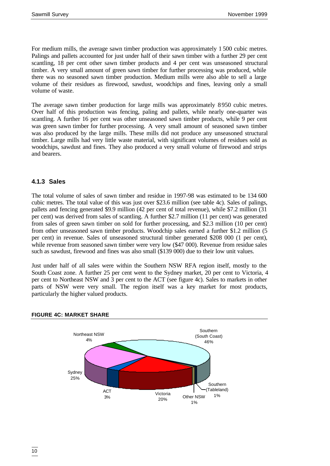For medium mills, the average sawn timber production was approximately 1 500 cubic metres. Palings and pallets accounted for just under half of their sawn timber with a further 29 per cent scantling, 18 per cent other sawn timber products and 4 per cent was unseasoned structural timber. A very small amount of green sawn timber for further processing was produced, while there was no seasoned sawn timber production. Medium mills were also able to sell a large volume of their residues as firewood, sawdust, woodchips and fines, leaving only a small volume of waste.

The average sawn timber production for large mills was approximately 8 950 cubic metres. Over half of this production was fencing, paling and pallets, while nearly one-quarter was scantling. A further 16 per cent was other unseasoned sawn timber products, while 9 per cent was green sawn timber for further processing. A very small amount of seasoned sawn timber was also produced by the large mills. These mills did not produce any unseasoned structural timber. Large mills had very little waste material, with significant volumes of residues sold as woodchips, sawdust and fines. They also produced a very small volume of firewood and strips and bearers.

# **4.1.3 Sales**

The total volume of sales of sawn timber and residue in 1997-98 was estimated to be 134 600 cubic metres. The total value of this was just over \$23.6 million (see table 4c). Sales of palings, pallets and fencing generated \$9.9 million (42 per cent of total revenue), while \$7.2 million (31 per cent) was derived from sales of scantling. A further \$2.7 million (11 per cent) was generated from sales of green sawn timber on sold for further processing, and \$2.3 million (10 per cent) from other unseasoned sawn timber products. Woodchip sales earned a further \$1.2 million (5 per cent) in revenue. Sales of unseasoned structural timber generated \$208 000 (1 per cent), while revenue from seasoned sawn timber were very low (\$47 000). Revenue from residue sales such as sawdust, firewood and fines was also small (\$139 000) due to their low unit values.

Just under half of all sales were within the Southern NSW RFA region itself, mostly to the South Coast zone. A further 25 per cent went to the Sydney market, 20 per cent to Victoria, 4 per cent to Northeast NSW and 3 per cent to the ACT (see figure 4c). Sales to markets in other parts of NSW were very small. The region itself was a key market for most products, particularly the higher valued products.



### **FIGURE 4C: MARKET SHARE**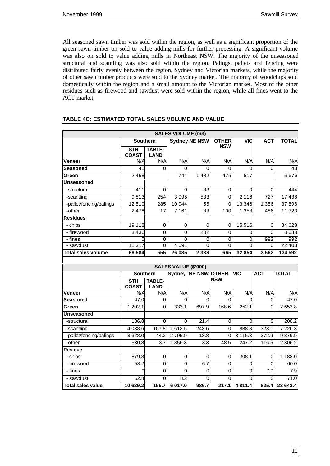All seasoned sawn timber was sold within the region, as well as a significant proportion of the green sawn timber on sold to value adding mills for further processing. A significant volume was also on sold to value adding mills in Northeast NSW. The majority of the unseasoned structural and scantling was also sold within the region. Palings, pallets and fencing were distributed fairly evenly between the region, Sydney and Victorian markets, while the majority of other sawn timber products were sold to the Sydney market. The majority of woodchips sold domestically within the region and a small amount to the Victorian market. Most of the other residues such as firewood and sawdust were sold within the region, while all fines went to the ACT market.

| <b>SALES VOLUME (m3)</b>          |                     |                    |                             |                      |                     |                     |                |                          |
|-----------------------------------|---------------------|--------------------|-----------------------------|----------------------|---------------------|---------------------|----------------|--------------------------|
|                                   | <b>Southern</b>     |                    | <b>Sydney NE NSW</b>        |                      | <b>OTHER</b>        | <b>VIC</b>          | <b>ACT</b>     | <b>TOTAL</b>             |
|                                   | <b>STH</b>          | <b>TABLE-</b>      |                             |                      | <b>NSW</b>          |                     |                |                          |
|                                   | <b>COAST</b>        | <b>LAND</b>        |                             |                      |                     |                     |                |                          |
| Veneer                            | N/A                 | N/A                | N/A                         | N/A                  | N/A                 | N/A                 | N/A            | N/A                      |
| <b>Seasoned</b>                   | 48                  | 0                  | 0                           | 0                    | 0                   | 0                   | 0              | 48                       |
| Green                             | 2458                |                    | 744                         | 1482                 | 475                 | $\overline{517}$    |                | 5 6 7 6                  |
| <b>Unseasoned</b>                 |                     |                    |                             |                      |                     |                     |                |                          |
| -structural                       | 411                 | 0                  | 0                           | 33                   | 0                   | 0                   | 0              | 444                      |
| -scantling                        | 9813                | 254                | 3995                        | 533                  | $\mathbf 0$         | 2 1 1 6             | 727            | 17438                    |
| -pallet/fencing/palings           | 12 510              | 285                | 10 044                      | 55                   | $\Omega$            | 13 3 46             | 1 3 5 6        | 37 596                   |
| -other                            | 2 4 7 8             | $\overline{17}$    | 7 1 6 1                     | 33                   | 190                 | 1 3 5 8             | 486            | 11723                    |
| <b>Residues</b>                   |                     |                    |                             |                      |                     |                     |                |                          |
| - chips                           | 19 112              | 0                  | $\mathbf 0$                 | $\Omega$             | $\Omega$            | 15 5 16             | $\Omega$       | 34 628                   |
| - firewood                        | 3436                | $\overline{0}$     | $\overline{0}$              | 202                  | $\overline{0}$      | 0                   | $\Omega$       | 3638                     |
| - fines                           | 0                   | 0                  | 0                           | 0                    | 0                   | 0                   | 992            | 992                      |
| - sawdust                         | 18 317              | 0                  | 4 0 9 1                     | $\Omega$             | $\mathbf 0$         | 0                   | $\Omega$       | 22 408                   |
| <b>Total sales volume</b>         | 68 584              | $\overline{555}$   | 26 035                      | 2 3 3 8              | 665                 | 32854               | 3562           | 134 592                  |
|                                   |                     |                    |                             |                      |                     |                     |                |                          |
|                                   |                     |                    | <b>SALES VALUE (\$'000)</b> |                      |                     |                     |                |                          |
|                                   | <b>Southern</b>     |                    |                             | <b>Sydney NE NSW</b> | <b>OTHER</b>        | <b>VIC</b>          | <b>ACT</b>     | <b>TOTAL</b>             |
|                                   | <b>STH</b>          | <b>TABLE-</b>      |                             |                      | <b>NSW</b>          |                     |                |                          |
| Veneer                            | <b>COAST</b><br>N/A | <b>LAND</b><br>N/A | N/A                         | N/A                  | N/A                 | N/A                 | N/A            | N/A                      |
| <b>Seasoned</b>                   | 47.0                | $\mathbf 0$        | $\Omega$                    | $\Omega$             | 0                   | 0                   | $\mathbf 0$    | 47.0                     |
| Green                             | 1202.1              | $\Omega$           | 333.1                       | 697.9                | 168.6               | 252.1               | $\overline{0}$ | 2653.8                   |
| <b>Unseasoned</b>                 |                     |                    |                             |                      |                     |                     |                |                          |
| -structural                       | 186.8               | 0                  | 0                           | 21.4                 | 0                   | 0                   | 0              | 208.2                    |
| -scantling                        | 4 0 38.6            | 107.8              | 1613.5                      | 243.6                | 0                   | 888.8               | 328.1          | 7 2 2 0.3                |
|                                   | 3628.0              | 44.2               | 2705.9                      | 13.8                 | 0                   | 3 1 1 5 . 3         | 372.9          | 9879.9                   |
| -pallet/fencing/palings<br>-other |                     |                    | 1 356.3                     |                      |                     |                     |                |                          |
| <b>Residue</b>                    | 530.8               | 3.7                |                             | 3.3                  | 48.5                | 247.2               | 116.5          | 2 3 0 6.2                |
|                                   | 879.8               |                    |                             |                      |                     | 308.1               |                | 1 188.0                  |
| - chips<br>- firewood             | $\frac{1}{53.2}$    | 0                  | $\mathbf 0$                 | 0<br>6.7             | 0                   |                     | 0              |                          |
| - fines                           | 0                   | 0<br>0             | 0<br>$\overline{0}$         | $\overline{0}$       | 0<br>$\overline{0}$ | 0<br>$\overline{0}$ | 0<br>7.9       | 60.0<br>$\overline{7.9}$ |
|                                   | 62.8                | $\Omega$           |                             | $\Omega$             | $\Omega$            | 0                   | $\Omega$       | 71.0                     |
| - sawdust                         |                     |                    | 8.2                         |                      |                     |                     |                |                          |
| <b>Total sales value</b>          | 10 629.2            | 155.7              | 6017.0                      | 986.7                | 217.1               | 4811.4              | 825.4          | 23 642.4                 |

#### **TABLE 4C: ESTIMATED TOTAL SALES VOLUME AND VALUE**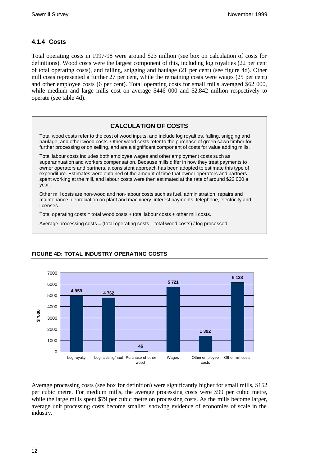# **4.1.4 Costs**

Total operating costs in 1997-98 were around \$23 million (see box on calculation of costs for definitions). Wood costs were the largest component of this, including log royalties (22 per cent of total operating costs), and falling, snigging and haulage (21 per cent) (see figure 4d). Other mill costs represented a further 27 per cent, while the remaining costs were wages (25 per cent) and other employee costs (6 per cent). Total operating costs for small mills averaged \$62 000, while medium and large mills cost on average \$446 000 and \$2.842 million respectively to operate (see table 4d).

# **CALCULATION OF COSTS**

Total wood costs refer to the cost of wood inputs, and include log royalties, falling, snigging and haulage, and other wood costs. Other wood costs refer to the purchase of green sawn timber for further processing or on selling, and are a significant component of costs for value adding mills.

Total labour costs includes both employee wages and other employment costs such as superannuation and workers compensation. Because mills differ in how they treat payments to owner operators and partners, a consistent approach has been adopted to estimate this type of expenditure. Estimates were obtained of the amount of time that owner operators and partners spent working at the mill, and labour costs were then estimated at the rate of around \$22 000 a year.

Other mill costs are non-wood and non-labour costs such as fuel, administration, repairs and maintenance, depreciation on plant and machinery, interest payments, telephone, electricity and licenses.

Total operating  $costs = total$  wood  $costs + total$  labour  $costs + other$  mill costs.

Average processing costs = (total operating costs – total wood costs) / log processed.



# **FIGURE 4D: TOTAL INDUSTRY OPERATING COSTS**

Average processing costs (see box for definition) were significantly higher for small mills, \$152 per cubic metre. For medium mills, the average processing costs were \$99 per cubic metre, while the large mills spent \$79 per cubic metre on processing costs. As the mills become larger, average unit processing costs become smaller, showing evidence of economies of scale in the industry.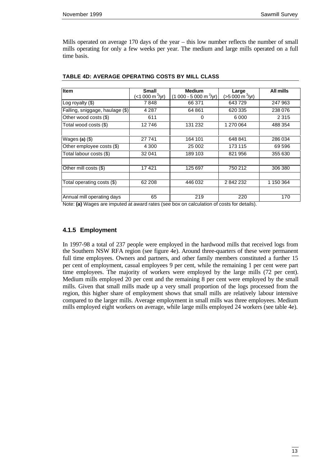Mills operated on average 170 days of the year – this low number reflects the number of small mills operating for only a few weeks per year. The medium and large mills operated on a full time basis.

| <b>Item</b>                     | <b>Small</b>     | <b>Medium</b>                         |                                             | <b>All mills</b> |
|---------------------------------|------------------|---------------------------------------|---------------------------------------------|------------------|
|                                 | $(*1 000 m3/yr)$ | $(1000 - 5000 \text{ m}^3/\text{yr})$ | <b>Large</b><br>(>5 000 m <sup>3</sup> /yr) |                  |
| Log royalty (\$)                | 7848             | 66 371                                | 643729                                      | 247 963          |
| Falling, sniggage, haulage (\$) | 4 2 8 7          | 64 861                                | 620 335                                     | 238 076          |
| Other wood costs (\$)           | 611              | 0                                     | 6000                                        | 2 3 1 5          |
| Total wood costs (\$)           | 12746            | 131 232                               | 1 270 064                                   | 488 354          |
|                                 |                  |                                       |                                             |                  |
| Wages (a) $(\$)$                | 27 741           | 164 101                               | 648 841                                     | 286 034          |
| Other employee costs (\$)       | 4 3 0 0          | 25 002                                | 173 115                                     | 69 596           |
| Total labour costs (\$)         | 32 041           | 189 103                               | 821 956                                     | 355 630          |
|                                 |                  |                                       |                                             |                  |
| Other mill costs (\$)           | 17421            | 125 697                               | 750 212                                     | 306 380          |
|                                 |                  |                                       |                                             |                  |
| Total operating costs (\$)      | 62 208           | 446 032                               | 2842232                                     | 1 150 364        |
|                                 |                  |                                       |                                             |                  |
| Annual mill operating days      | 65               | 219                                   | 220                                         | 170              |

**TABLE 4D: AVERAGE OPERATING COSTS BY MILL CLASS**

Note: **(a)** Wages are imputed at award rates (see box on calculation of costs for details).

#### **4.1.5 Employment**

In 1997-98 a total of 237 people were employed in the hardwood mills that received logs from the Southern NSW RFA region (see figure 4e). Around three-quarters of these were permanent full time employees. Owners and partners, and other family members constituted a further 15 per cent of employment, casual employees 9 per cent, while the remaining 1 per cent were part time employees. The majority of workers were employed by the large mills (72 per cent). Medium mills employed 20 per cent and the remaining 8 per cent were employed by the small mills. Given that small mills made up a very small proportion of the logs processed from the region, this higher share of employment shows that small mills are relatively labour intensive compared to the larger mills. Average employment in small mills was three employees. Medium mills employed eight workers on average, while large mills employed 24 workers (see table 4e).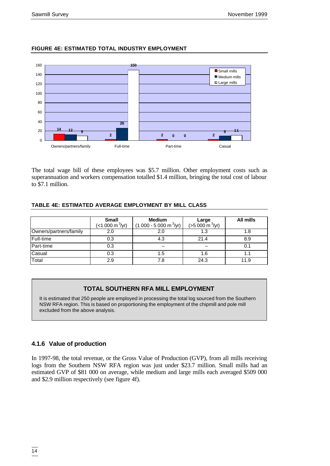#### **FIGURE 4E: ESTIMATED TOTAL INDUSTRY EMPLOYMENT**



The total wage bill of these employees was \$5.7 million. Other employment costs such as superannuation and workers compensation totalled \$1.4 million, bringing the total cost of labour to \$7.1 million.

#### **TABLE 4E: ESTIMATED AVERAGE EMPLOYMENT BY MILL CLASS**

|                        | <b>Small</b><br>$($ < 1 000 m $\frac{3}{y}$ r) | <b>Medium</b><br>$(1000 - 5000 \text{ m}^3/\text{yr})$ | Large<br>$(>5000 \text{ m}^3/\text{yr})$ | All mills |
|------------------------|------------------------------------------------|--------------------------------------------------------|------------------------------------------|-----------|
| Owners/partners/family | 2.0                                            | 2.0                                                    |                                          |           |
| Full-time              | 0.3                                            | 4.3                                                    | 21.4                                     | 8.9       |
| Part-time              | 0.3                                            |                                                        |                                          | 0.1       |
| Casual                 | 0.3                                            | 1.5                                                    | 1.6                                      |           |
| Total                  | 2.9                                            | 7.8                                                    | 24.3                                     | 11.9      |

# **TOTAL SOUTHERN RFA MILL EMPLOYMENT**

It is estimated that 250 people are employed in processing the total log sourced from the Southern NSW RFA region. This is based on proportioning the employment of the chipmill and pole mill excluded from the above analysis.

### **4.1.6 Value of production**

In 1997-98, the total revenue, or the Gross Value of Production (GVP), from all mills receiving logs from the Southern NSW RFA region was just under \$23.7 million. Small mills had an estimated GVP of \$81 000 on average, while medium and large mills each averaged \$509 000 and \$2.9 million respectively (see figure 4f).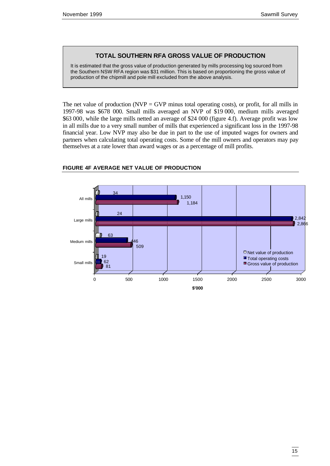### **TOTAL SOUTHERN RFA GROSS VALUE OF PRODUCTION**

It is estimated that the gross value of production generated by mills processing log sourced from the Southern NSW RFA region was \$31 million. This is based on proportioning the gross value of production of the chipmill and pole mill excluded from the above analysis.

The net value of production (NVP = GVP minus total operating costs), or profit, for all mills in 1997-98 was \$678 000. Small mills averaged an NVP of \$19 000, medium mills averaged \$63 000, while the large mills netted an average of \$24 000 (figure 4.f). Average profit was low in all mills due to a very small number of mills that experienced a significant loss in the 1997-98 financial year. Low NVP may also be due in part to the use of imputed wages for owners and partners when calculating total operating costs. Some of the mill owners and operators may pay themselves at a rate lower than award wages or as a percentage of mill profits.



#### **FIGURE 4F AVERAGE NET VALUE OF PRODUCTION**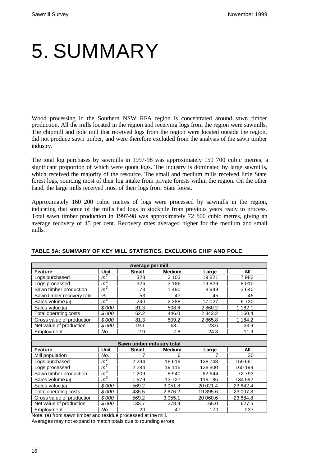# 5. SUMMARY

Wood processing in the Southern NSW RFA region is concentrated around sawn timber production. All the mills located in the region and receiving logs from the region were sawmills. The chipmill and pole mill that received logs from the region were located outside the region, did not produce sawn timber, and were therefore excluded from the analysis of the sawn timber industry.

The total log purchases by sawmills in 1997-98 was approximately 159 700 cubic metres, a significant proportion of which were quota logs. The industry is dominated by large sawmills, which received the majority of the resource. The small and medium mills received little State forest logs, sourcing most of their log intake from private forests within the region. On the other hand, the large mills received most of their logs from State forest.

Approximately 160 200 cubic metres of logs were processed by sawmills in the region, indicating that some of the mills had logs in stockpile from previous years ready to process. Total sawn timber production in 1997-98 was approximately 72 800 cubic metres, giving an average recovery of 45 per cent. Recovery rates averaged higher for the medium and small mills.

| Average per mill          |                |                            |               |          |             |  |  |  |
|---------------------------|----------------|----------------------------|---------------|----------|-------------|--|--|--|
| <b>Feature</b>            | <b>Unit</b>    | <b>Small</b>               | <b>Medium</b> | Large    | All         |  |  |  |
| Logs purchased            | m <sup>3</sup> | 328                        | 3 1 0 3       | 19821    | 7983        |  |  |  |
| Logs processed            | m <sup>3</sup> | 326                        | 3 1 8 6       | 19829    | 8010        |  |  |  |
| Sawn timber production    | m <sup>3</sup> | 173                        | 1490          | 8949     | 3640        |  |  |  |
| Sawn timber recovery rate | $\%$           | 53                         | 47            | 45       | 45          |  |  |  |
| Sales volume (a)          | $m^3$          | 240                        | 2 2 8 8       | 17027    | 6730        |  |  |  |
| Sales value (a)           | \$'000         | 81.3                       | 508.6         | 2860.2   | 1 1 8 2 . 1 |  |  |  |
| Total operating costs     | \$'000         | 62.2                       | 446.0         | 2842.2   | 1 150.4     |  |  |  |
| Gross value of production | \$'000         | 81.3                       | 509.2         | 2865.8   | 1 1 8 4 . 2 |  |  |  |
| Net value of production   | \$'000         | 19.1                       | 63.1          | 23.6     | 33.9        |  |  |  |
| Employment                | No.            | 2.9                        | 7.8           | 24.3     | 11.9        |  |  |  |
|                           |                |                            |               |          |             |  |  |  |
|                           |                | Sawn timber industry total |               |          |             |  |  |  |
| <b>Feature</b>            | <b>Unit</b>    | <b>Small</b>               | <b>Medium</b> | Large    | All         |  |  |  |
| Mill population           | No.            |                            | 6             | 7        | 20          |  |  |  |
| Logs purchased            | $m^3$          | 2 2 9 4                    | 18619         | 138748   | 159 661     |  |  |  |
| Logs processed            | m <sup>3</sup> | 2 2 8 4                    | 19 115        | 138 800  | 160 199     |  |  |  |
| Sawn timber production    | m <sup>3</sup> | 1 2 0 9                    | 8940          | 62 644   | 72793       |  |  |  |
| Sales volume (a)          | m <sup>3</sup> | 1679                       | 13727         | 119 186  | 134 592     |  |  |  |
| Sales value (a)           | \$'000         | 569.2                      | 3 0 5 1 . 8   | 20 021.4 | 23 642.4    |  |  |  |
| Total operating costs     | \$'000         | 435.5                      | 2676.2        | 19895.6  | 23 007.3    |  |  |  |
| Gross value of production | \$'000         | 569.2                      | 3 0 5 5 . 1   | 20 060.6 | 23 684.8    |  |  |  |
| Net value of production   | \$'000         | 133.7                      | 378.9         | 165.0    | 677.5       |  |  |  |
| Employment                | No.            | 20                         | 47            | 170      | 237         |  |  |  |

#### **TABLE 5A: SUMMARY OF KEY MILL STATISTICS, EXCLUDING CHIP AND POLE**

Note: (a) from sawn timber and residue processed at the mill.

Averages may not expand to match totals due to rounding errors.